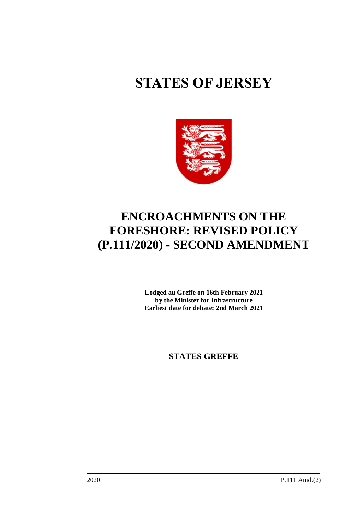# **STATES OF JERSEY**



# **ENCROACHMENTS ON THE FORESHORE: REVISED POLICY (P.111/2020) - SECOND AMENDMENT**

**Lodged au Greffe on 16th February 2021 by the Minister for Infrastructure Earliest date for debate: 2nd March 2021**

**STATES GREFFE**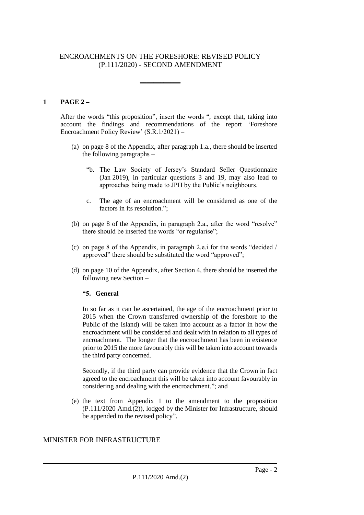# ENCROACHMENTS ON THE FORESHORE: REVISED POLICY (P.111/2020) - SECOND AMENDMENT

**\_\_\_\_\_\_\_\_\_\_\_\_**

# **1 PAGE 2 –**

After the words "this proposition", insert the words ", except that, taking into account the findings and recommendations of the report 'Foreshore Encroachment Policy Review' (S.R.1/2021) –

- (a) on page 8 of the Appendix, after paragraph 1.a., there should be inserted the following paragraphs –
	- "b. The Law Society of Jersey's Standard Seller Questionnaire (Jan 2019), in particular questions 3 and 19, may also lead to approaches being made to JPH by the Public's neighbours.
	- c. The age of an encroachment will be considered as one of the factors in its resolution.";
- (b) on page 8 of the Appendix, in paragraph 2.a., after the word "resolve" there should be inserted the words "or regularise";
- (c) on page 8 of the Appendix, in paragraph 2.e.i for the words "decided / approved" there should be substituted the word "approved";
- (d) on page 10 of the Appendix, after Section 4, there should be inserted the following new Section –

#### **"5. General**

In so far as it can be ascertained, the age of the encroachment prior to 2015 when the Crown transferred ownership of the foreshore to the Public of the Island) will be taken into account as a factor in how the encroachment will be considered and dealt with in relation to all types of encroachment. The longer that the encroachment has been in existence prior to 2015 the more favourably this will be taken into account towards the third party concerned.

Secondly, if the third party can provide evidence that the Crown in fact agreed to the encroachment this will be taken into account favourably in considering and dealing with the encroachment."; and

(e) the text from Appendix 1 to the amendment to the proposition (P.111/2020 Amd.(2)), lodged by the Minister for Infrastructure, should be appended to the revised policy".

# MINISTER FOR INFRASTRUCTURE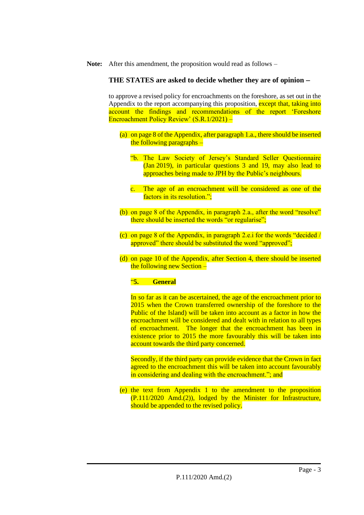**Note:** After this amendment, the proposition would read as follows –

#### **THE STATES are asked to decide whether they are of opinion** −

to approve a revised policy for encroachments on the foreshore, as set out in the Appendix to the report accompanying this proposition, except that, taking into account the findings and recommendations of the report 'Foreshore Encroachment Policy Review' (S.R.1/2021) –

- (a) on page 8 of the Appendix, after paragraph 1.a., there should be inserted the following paragraphs –
	- "b. The Law Society of Jersey's Standard Seller Questionnaire (Jan 2019), in particular questions 3 and 19, may also lead to approaches being made to JPH by the Public's neighbours.
	- c. The age of an encroachment will be considered as one of the factors in its resolution.";
- (b) on page 8 of the Appendix, in paragraph 2.a., after the word "resolve" there should be inserted the words "or regularise";
- (c) on page 8 of the Appendix, in paragraph 2.e.i for the words "decided / approved" there should be substituted the word "approved";
- (d) on page 10 of the Appendix, after Section 4, there should be inserted the following new Section –

#### "**5. General**

In so far as it can be ascertained, the age of the encroachment prior to 2015 when the Crown transferred ownership of the foreshore to the Public of the Island) will be taken into account as a factor in how the encroachment will be considered and dealt with in relation to all types of encroachment. The longer that the encroachment has been in existence prior to 2015 the more favourably this will be taken into account towards the third party concerned.

Secondly, if the third party can provide evidence that the Crown in fact agreed to the encroachment this will be taken into account favourably in considering and dealing with the encroachment."; and

(e) the text from Appendix 1 to the amendment to the proposition (P.111/2020 Amd.(2)), lodged by the Minister for Infrastructure, should be appended to the revised policy.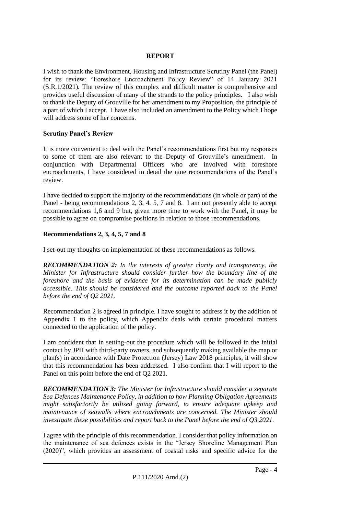#### **REPORT**

I wish to thank the Environment, Housing and Infrastructure Scrutiny Panel (the Panel) for its review: "Foreshore Encroachment Policy Review" of 14 January 2021 (S.R.1/2021). The review of this complex and difficult matter is comprehensive and provides useful discussion of many of the strands to the policy principles. I also wish to thank the Deputy of Grouville for her amendment to my Proposition, the principle of a part of which I accept. I have also included an amendment to the Policy which I hope will address some of her concerns.

#### **Scrutiny Panel's Review**

It is more convenient to deal with the Panel's recommendations first but my responses to some of them are also relevant to the Deputy of Grouville's amendment. In conjunction with Departmental Officers who are involved with foreshore encroachments, I have considered in detail the nine recommendations of the Panel's review.

I have decided to support the majority of the recommendations (in whole or part) of the Panel - being recommendations 2, 3, 4, 5, 7 and 8. I am not presently able to accept recommendations 1,6 and 9 but, given more time to work with the Panel, it may be possible to agree on compromise positions in relation to those recommendations.

# **Recommendations 2, 3, 4, 5, 7 and 8**

I set-out my thoughts on implementation of these recommendations as follows.

*RECOMMENDATION 2: In the interests of greater clarity and transparency, the Minister for Infrastructure should consider further how the boundary line of the foreshore and the basis of evidence for its determination can be made publicly accessible. This should be considered and the outcome reported back to the Panel before the end of Q2 2021.*

Recommendation 2 is agreed in principle. I have sought to address it by the addition of Appendix 1 to the policy, which Appendix deals with certain procedural matters connected to the application of the policy.

I am confident that in setting-out the procedure which will be followed in the initial contact by JPH with third-party owners, and subsequently making available the map or plan(s) in accordance with Date Protection (Jersey) Law 2018 principles, it will show that this recommendation has been addressed. I also confirm that I will report to the Panel on this point before the end of Q2 2021.

*RECOMMENDATION 3: The Minister for Infrastructure should consider a separate Sea Defences Maintenance Policy, in addition to how Planning Obligation Agreements might satisfactorily be utilised going forward, to ensure adequate upkeep and maintenance of seawalls where encroachments are concerned. The Minister should investigate these possibilities and report back to the Panel before the end of Q3 2021.*

I agree with the principle of this recommendation. I consider that policy information on the maintenance of sea defences exists in the "Jersey Shoreline Management Plan (2020)", which provides an assessment of coastal risks and specific advice for the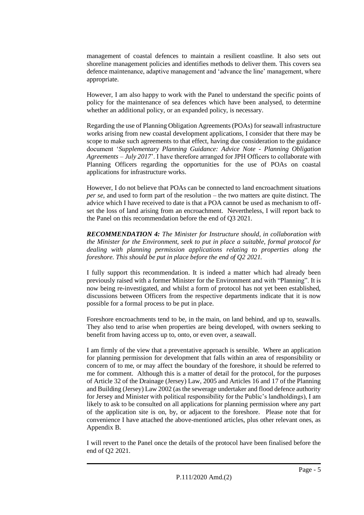management of coastal defences to maintain a resilient coastline. It also sets out shoreline management policies and identifies methods to deliver them. This covers sea defence maintenance, adaptive management and 'advance the line' management, where appropriate.

However, I am also happy to work with the Panel to understand the specific points of policy for the maintenance of sea defences which have been analysed, to determine whether an additional policy, or an expanded policy, is necessary.

Regarding the use of Planning Obligation Agreements (POAs) for seawall infrastructure works arising from new coastal development applications, I consider that there may be scope to make such agreements to that effect, having due consideration to the guidance document '*Supplementary Planning Guidance: Advice Note - Planning Obligation Agreements – July 2017*'. I have therefore arranged for JPH Officers to collaborate with Planning Officers regarding the opportunities for the use of POAs on coastal applications for infrastructure works.

However, I do not believe that POAs can be connected to land encroachment situations *per se*, and used to form part of the resolution – the two matters are quite distinct. The advice which I have received to date is that a POA cannot be used as mechanism to offset the loss of land arising from an encroachment. Nevertheless, I will report back to the Panel on this recommendation before the end of Q3 2021.

*RECOMMENDATION 4: The Minister for Instructure should, in collaboration with the Minister for the Environment, seek to put in place a suitable, formal protocol for dealing with planning permission applications relating to properties along the foreshore. This should be put in place before the end of Q2 2021.*

I fully support this recommendation. It is indeed a matter which had already been previously raised with a former Minister for the Environment and with "Planning". It is now being re-investigated, and whilst a form of protocol has not yet been established, discussions between Officers from the respective departments indicate that it is now possible for a formal process to be put in place.

Foreshore encroachments tend to be, in the main, on land behind, and up to, seawalls. They also tend to arise when properties are being developed, with owners seeking to benefit from having access up to, onto, or even over, a seawall.

I am firmly of the view that a preventative approach is sensible. Where an application for planning permission for development that falls within an area of responsibility or concern of to me, or may affect the boundary of the foreshore, it should be referred to me for comment. Although this is a matter of detail for the protocol, for the purposes of Article 32 of the Drainage (Jersey) Law, 2005 and Articles 16 and 17 of the Planning and Building (Jersey) Law 2002 (as the sewerage undertaker and flood defence authority for Jersey and Minister with political responsibility for the Public's landholdings), I am likely to ask to be consulted on all applications for planning permission where any part of the application site is on, by, or adjacent to the foreshore. Please note that for convenience I have attached the above-mentioned articles, plus other relevant ones, as Appendix B.

I will revert to the Panel once the details of the protocol have been finalised before the end of Q2 2021.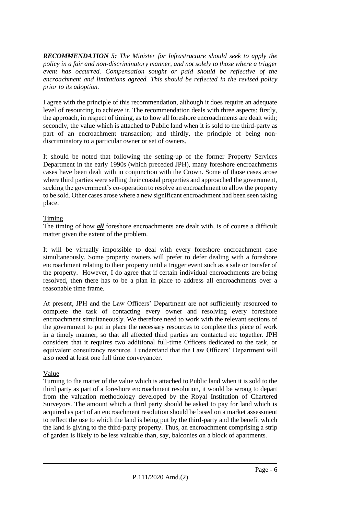*RECOMMENDATION 5: The Minister for Infrastructure should seek to apply the policy in a fair and non-discriminatory manner, and not solely to those where a trigger event has occurred. Compensation sought or paid should be reflective of the encroachment and limitations agreed. This should be reflected in the revised policy prior to its adoption.*

I agree with the principle of this recommendation, although it does require an adequate level of resourcing to achieve it. The recommendation deals with three aspects: firstly, the approach, in respect of timing, as to how all foreshore encroachments are dealt with; secondly, the value which is attached to Public land when it is sold to the third-party as part of an encroachment transaction; and thirdly, the principle of being nondiscriminatory to a particular owner or set of owners.

It should be noted that following the setting-up of the former Property Services Department in the early 1990s (which preceded JPH), many foreshore encroachments cases have been dealt with in conjunction with the Crown. Some of those cases arose where third parties were selling their coastal properties and approached the government, seeking the government's co-operation to resolve an encroachment to allow the property to be sold. Other cases arose where a new significant encroachment had been seen taking place.

# Timing

The timing of how *all* foreshore encroachments are dealt with, is of course a difficult matter given the extent of the problem.

It will be virtually impossible to deal with every foreshore encroachment case simultaneously. Some property owners will prefer to defer dealing with a foreshore encroachment relating to their property until a trigger event such as a sale or transfer of the property. However, I do agree that if certain individual encroachments are being resolved, then there has to be a plan in place to address all encroachments over a reasonable time frame.

At present, JPH and the Law Officers' Department are not sufficiently resourced to complete the task of contacting every owner and resolving every foreshore encroachment simultaneously. We therefore need to work with the relevant sections of the government to put in place the necessary resources to complete this piece of work in a timely manner, so that all affected third parties are contacted etc together. JPH considers that it requires two additional full-time Officers dedicated to the task, or equivalent consultancy resource. I understand that the Law Officers' Department will also need at least one full time conveyancer.

# Value

Turning to the matter of the value which is attached to Public land when it is sold to the third party as part of a foreshore encroachment resolution, it would be wrong to depart from the valuation methodology developed by the Royal Institution of Chartered Surveyors. The amount which a third party should be asked to pay for land which is acquired as part of an encroachment resolution should be based on a market assessment to reflect the use to which the land is being put by the third-party and the benefit which the land is giving to the third-party property. Thus, an encroachment comprising a strip of garden is likely to be less valuable than, say, balconies on a block of apartments.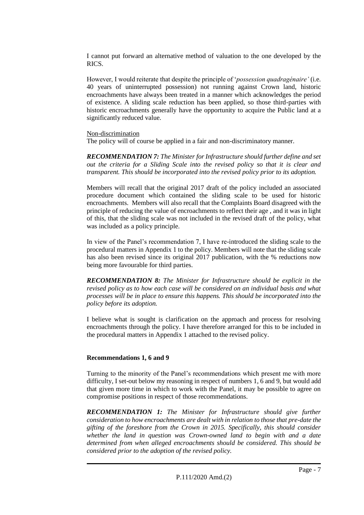I cannot put forward an alternative method of valuation to the one developed by the RICS.

However, I would reiterate that despite the principle of '*possession quadragénaire'* (i.e. 40 years of uninterrupted possession) not running against Crown land, historic encroachments have always been treated in a manner which acknowledges the period of existence. A sliding scale reduction has been applied, so those third-parties with historic encroachments generally have the opportunity to acquire the Public land at a significantly reduced value.

#### Non-discrimination

The policy will of course be applied in a fair and non-discriminatory manner.

*RECOMMENDATION 7: The Minister for Infrastructure should further define and set out the criteria for a Sliding Scale into the revised policy so that it is clear and transparent. This should be incorporated into the revised policy prior to its adoption.*

Members will recall that the original 2017 draft of the policy included an associated procedure document which contained the sliding scale to be used for historic encroachments. Members will also recall that the Complaints Board disagreed with the principle of reducing the value of encroachments to reflect their age , and it was in light of this, that the sliding scale was not included in the revised draft of the policy, what was included as a policy principle.

In view of the Panel's recommendation 7, I have re-introduced the sliding scale to the procedural matters in Appendix 1 to the policy. Members will note that the sliding scale has also been revised since its original 2017 publication, with the % reductions now being more favourable for third parties.

*RECOMMENDATION 8: The Minister for Infrastructure should be explicit in the revised policy as to how each case will be considered on an individual basis and what processes will be in place to ensure this happens. This should be incorporated into the policy before its adoption.*

I believe what is sought is clarification on the approach and process for resolving encroachments through the policy. I have therefore arranged for this to be included in the procedural matters in Appendix 1 attached to the revised policy.

# **Recommendations 1, 6 and 9**

Turning to the minority of the Panel's recommendations which present me with more difficulty, I set-out below my reasoning in respect of numbers 1, 6 and 9, but would add that given more time in which to work with the Panel, it may be possible to agree on compromise positions in respect of those recommendations.

*RECOMMENDATION 1: The Minister for Infrastructure should give further consideration to how encroachments are dealt with in relation to those that pre-date the gifting of the foreshore from the Crown in 2015. Specifically, this should consider whether the land in question was Crown-owned land to begin with and a date determined from when alleged encroachments should be considered. This should be considered prior to the adoption of the revised policy.*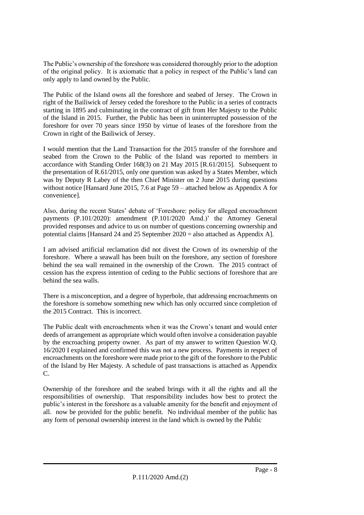The Public's ownership of the foreshore was considered thoroughly prior to the adoption of the original policy. It is axiomatic that a policy in respect of the Public's land can only apply to land owned by the Public.

The Public of the Island owns all the foreshore and seabed of Jersey. The Crown in right of the Bailiwick of Jersey ceded the foreshore to the Public in a series of contracts starting in 1895 and culminating in the contract of gift from Her Majesty to the Public of the Island in 2015. Further, the Public has been in uninterrupted possession of the foreshore for over 70 years since 1950 by virtue of leases of the foreshore from the Crown in right of the Bailiwick of Jersey.

I would mention that the Land Transaction for the 2015 transfer of the foreshore and seabed from the Crown to the Public of the Island was reported to members in accordance with Standing Order 168(3) on 21 May 2015 [R.61/2015]. Subsequent to the presentation of R.61/2015, only one question was asked by a States Member, which was by Deputy R Labey of the then Chief Minister on 2 June 2015 during questions without notice [Hansard June 2015, 7.6 at Page 59 – attached below as Appendix A for convenience].

Also, during the recent States' debate of 'Foreshore: policy for alleged encroachment payments (P.101/2020): amendment (P.101/2020 Amd.)' the Attorney General provided responses and advice to us on number of questions concerning ownership and potential claims [Hansard 24 and 25 September 2020 = also attached as Appendix A].

I am advised artificial reclamation did not divest the Crown of its ownership of the foreshore. Where a seawall has been built on the foreshore, any section of foreshore behind the sea wall remained in the ownership of the Crown. The 2015 contract of cession has the express intention of ceding to the Public sections of foreshore that are behind the sea walls.

There is a misconception, and a degree of hyperbole, that addressing encroachments on the foreshore is somehow something new which has only occurred since completion of the 2015 Contract. This is incorrect.

The Public dealt with encroachments when it was the Crown's tenant and would enter deeds of arrangement as appropriate which would often involve a consideration payable by the encroaching property owner. As part of my answer to written Question W.Q. 16/2020 I explained and confirmed this was not a new process. Payments in respect of encroachments on the foreshore were made prior to the gift of the foreshore to the Public of the Island by Her Majesty. A schedule of past transactions is attached as Appendix C.

Ownership of the foreshore and the seabed brings with it all the rights and all the responsibilities of ownership. That responsibility includes how best to protect the public's interest in the foreshore as a valuable amenity for the benefit and enjoyment of all. now be provided for the public benefit. No individual member of the public has any form of personal ownership interest in the land which is owned by the Public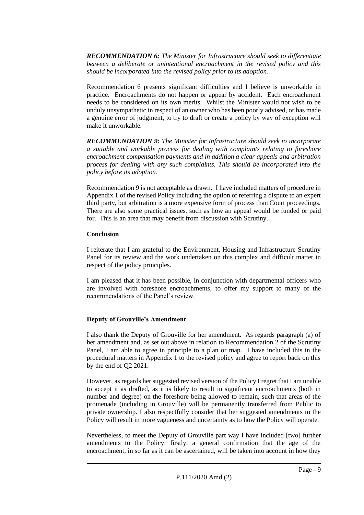*RECOMMENDATION 6: The Minister for Infrastructure should seek to differentiate between a deliberate or unintentional encroachment in the revised policy and this should be incorporated into the revised policy prior to its adoption.*

Recommendation 6 presents significant difficulties and I believe is unworkable in practice. Encroachments do not happen or appear by accident. Each encroachment needs to be considered on its own merits. Whilst the Minister would not wish to be unduly unsympathetic in respect of an owner who has been poorly advised, or has made a genuine error of judgment, to try to draft or create a policy by way of exception will make it unworkable.

*RECOMMENDATION 9: The Minister for Infrastructure should seek to incorporate a suitable and workable process for dealing with complaints relating to foreshore encroachment compensation payments and in addition a clear appeals and arbitration process for dealing with any such complaints. This should be incorporated into the policy before its adoption.*

Recommendation 9 is not acceptable as drawn. I have included matters of procedure in Appendix 1 of the revised Policy including the option of referring a dispute to an expert third party, but arbitration is a more expensive form of process than Court proceedings. There are also some practical issues, such as how an appeal would be funded or paid for. This is an area that may benefit from discussion with Scrutiny.

#### **Conclusion**

I reiterate that I am grateful to the Environment, Housing and Infrastructure Scrutiny Panel for its review and the work undertaken on this complex and difficult matter in respect of the policy principles.

I am pleased that it has been possible, in conjunction with departmental officers who are involved with foreshore encroachments, to offer my support to many of the recommendations of the Panel's review.

# **Deputy of Grouville's Amendment**

I also thank the Deputy of Grouville for her amendment. As regards paragraph (a) of her amendment and, as set out above in relation to Recommendation 2 of the Scrutiny Panel, I am able to agree in principle to a plan or map. I have included this in the procedural matters in Appendix 1 to the revised policy and agree to report back on this by the end of Q2 2021.

However, as regards her suggested revised version of the Policy I regret that I am unable to accept it as drafted, as it is likely to result in significant encroachments (both in number and degree) on the foreshore being allowed to remain, such that areas of the promenade (including in Grouville) will be permanently transferred from Public to private ownership. I also respectfully consider that her suggested amendments to the Policy will result in more vagueness and uncertainty as to how the Policy will operate.

Nevertheless, to meet the Deputy of Grouville part way I have included [two] further amendments to the Policy: firstly, a general confirmation that the age of the encroachment, in so far as it can be ascertained, will be taken into account in how they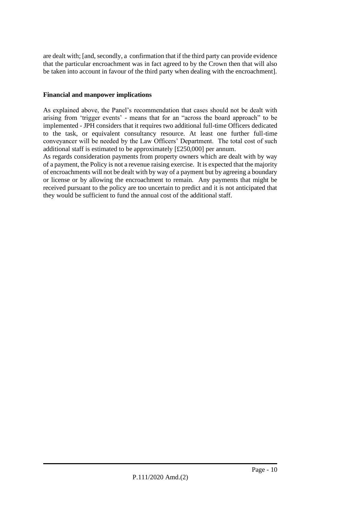are dealt with; [and, secondly, a confirmation that if the third party can provide evidence that the particular encroachment was in fact agreed to by the Crown then that will also be taken into account in favour of the third party when dealing with the encroachment].

# **Financial and manpower implications**

As explained above, the Panel's recommendation that cases should not be dealt with arising from 'trigger events' - means that for an "across the board approach" to be implemented - JPH considers that it requires two additional full-time Officers dedicated to the task, or equivalent consultancy resource. At least one further full-time conveyancer will be needed by the Law Officers' Department. The total cost of such additional staff is estimated to be approximately [£250,000] per annum.

As regards consideration payments from property owners which are dealt with by way of a payment, the Policy is not a revenue raising exercise. It is expected that the majority of encroachments will not be dealt with by way of a payment but by agreeing a boundary or license or by allowing the encroachment to remain. Any payments that might be received pursuant to the policy are too uncertain to predict and it is not anticipated that they would be sufficient to fund the annual cost of the additional staff.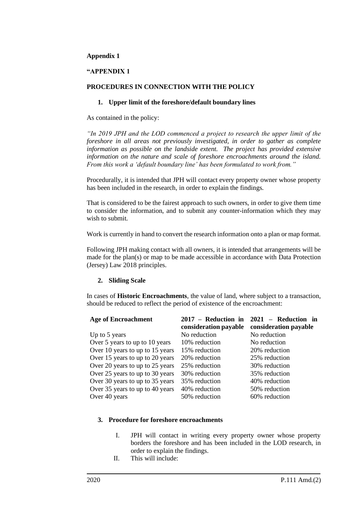#### **Appendix 1**

#### **"APPENDIX 1**

#### **PROCEDURES IN CONNECTION WITH THE POLICY**

#### **1. Upper limit of the foreshore/default boundary lines**

As contained in the policy:

*"In 2019 JPH and the LOD commenced a project to research the upper limit of the foreshore in all areas not previously investigated, in order to gather as complete information as possible on the landside extent. The project has provided extensive information on the nature and scale of foreshore encroachments around the island. From this work a 'default boundary line' has been formulated to work from."*

Procedurally, it is intended that JPH will contact every property owner whose property has been included in the research, in order to explain the findings.

That is considered to be the fairest approach to such owners, in order to give them time to consider the information, and to submit any counter-information which they may wish to submit.

Work is currently in hand to convert the research information onto a plan or map format.

Following JPH making contact with all owners, it is intended that arrangements will be made for the plan(s) or map to be made accessible in accordance with Data Protection (Jersey) Law 2018 principles.

#### **2. Sliding Scale**

In cases of **Historic Encroachments**, the value of land, where subject to a transaction, should be reduced to reflect the period of existence of the encroachment:

| <b>Age of Encroachment</b>      | 2017 - Reduction in   | 2021 - Reduction in   |
|---------------------------------|-----------------------|-----------------------|
|                                 | consideration payable | consideration payable |
| Up to 5 years                   | No reduction          | No reduction          |
| Over 5 years to up to 10 years  | 10% reduction         | No reduction          |
| Over 10 years to up to 15 years | 15% reduction         | 20% reduction         |
| Over 15 years to up to 20 years | 20% reduction         | 25% reduction         |
| Over 20 years to up to 25 years | 25% reduction         | 30% reduction         |
| Over 25 years to up to 30 years | 30% reduction         | 35% reduction         |
| Over 30 years to up to 35 years | 35% reduction         | 40% reduction         |
| Over 35 years to up to 40 years | 40% reduction         | 50% reduction         |
| Over 40 years                   | 50% reduction         | 60% reduction         |

#### **3. Procedure for foreshore encroachments**

- I. JPH will contact in writing every property owner whose property borders the foreshore and has been included in the LOD research, in order to explain the findings.
- II. This will include: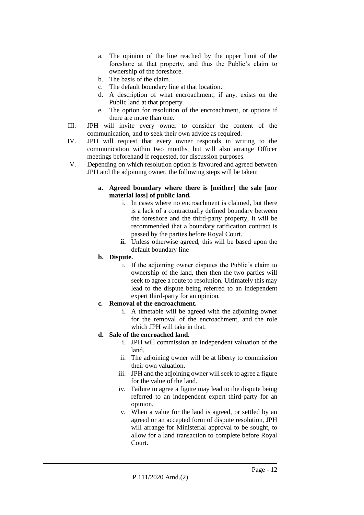- a. The opinion of the line reached by the upper limit of the foreshore at that property, and thus the Public's claim to ownership of the foreshore.
- b. The basis of the claim.
- c. The default boundary line at that location.
- d. A description of what encroachment, if any, exists on the Public land at that property.
- e. The option for resolution of the encroachment, or options if there are more than one.
- III. JPH will invite every owner to consider the content of the communication, and to seek their own advice as required.
- IV. JPH will request that every owner responds in writing to the communication within two months, but will also arrange Officer meetings beforehand if requested, for discussion purposes.
- V. Depending on which resolution option is favoured and agreed between JPH and the adjoining owner, the following steps will be taken:
	- **a. Agreed boundary where there is [neither] the sale [nor material loss] of public land.**
		- i. In cases where no encroachment is claimed, but there is a lack of a contractually defined boundary between the foreshore and the third-party property, it will be recommended that a boundary ratification contract is passed by the parties before Royal Court.
		- **ii.** Unless otherwise agreed, this will be based upon the default boundary line
	- **b. Dispute.**
		- i. If the adjoining owner disputes the Public's claim to ownership of the land, then then the two parties will seek to agree a route to resolution. Ultimately this may lead to the dispute being referred to an independent expert third-party for an opinion.

# **c. Removal of the encroachment.**

- i. A timetable will be agreed with the adjoining owner for the removal of the encroachment, and the role which JPH will take in that.
- **d. Sale of the encroached land.**
	- i. JPH will commission an independent valuation of the land.
	- ii. The adjoining owner will be at liberty to commission their own valuation.
	- iii. JPH and the adjoining owner will seek to agree a figure for the value of the land.
	- iv. Failure to agree a figure may lead to the dispute being referred to an independent expert third-party for an opinion.
	- v. When a value for the land is agreed, or settled by an agreed or an accepted form of dispute resolution, JPH will arrange for Ministerial approval to be sought, to allow for a land transaction to complete before Royal Court.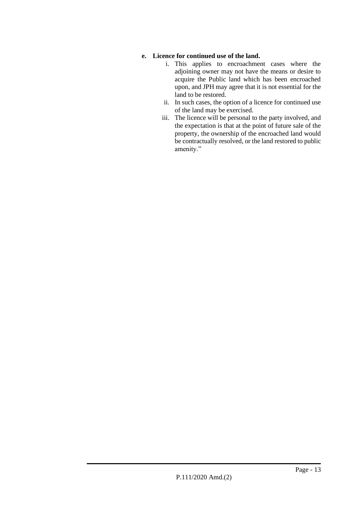# **e. Licence for continued use of the land.**

- i. This applies to encroachment cases where the adjoining owner may not have the means or desire to acquire the Public land which has been encroached upon, and JPH may agree that it is not essential for the land to be restored.
- ii. In such cases, the option of a licence for continued use of the land may be exercised.
- iii. The licence will be personal to the party involved, and the expectation is that at the point of future sale of the property, the ownership of the encroached land would be contractually resolved, or the land restored to public amenity."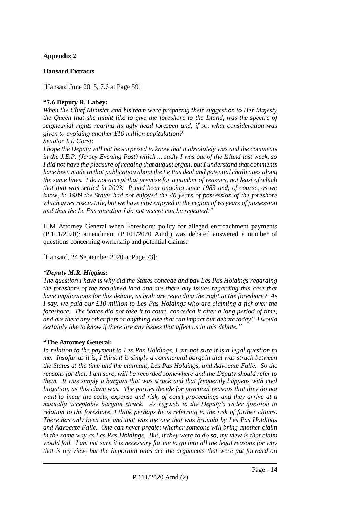# **Appendix 2**

# **Hansard Extracts**

[Hansard June 2015, 7.6 at Page 59]

#### **"7.6 Deputy R. Labey:**

*When the Chief Minister and his team were preparing their suggestion to Her Majesty the Queen that she might like to give the foreshore to the Island, was the spectre of seigneurial rights rearing its ugly head foreseen and, if so, what consideration was given to avoiding another £10 million capitulation?*

#### *Senator I.J. Gorst:*

*I hope the Deputy will not be surprised to know that it absolutely was and the comments in the J.E.P. (Jersey Evening Post) which ... sadly I was out of the Island last week, so I did not have the pleasure of reading that august organ, but I understand that comments have been made in that publication about the Le Pas deal and potential challenges along the same lines. I do not accept that premise for a number of reasons, not least of which that that was settled in 2003. It had been ongoing since 1989 and, of course, as we know, in 1989 the States had not enjoyed the 40 years of possession of the foreshore which gives rise to title, but we have now enjoyed in the region of 65 years of possession and thus the Le Pas situation I do not accept can be repeated."*

H.M Attorney General when Foreshore: policy for alleged encroachment payments (P.101/2020): amendment (P.101/2020 Amd.) was debated answered a number of questions concerning ownership and potential claims:

[Hansard, 24 September 2020 at Page 73]:

# *"Deputy M.R. Higgins:*

*The question I have is why did the States concede and pay Les Pas Holdings regarding the foreshore of the reclaimed land and are there any issues regarding this case that have implications for this debate, as both are regarding the right to the foreshore? As I say, we paid our £10 million to Les Pas Holdings who are claiming a fief over the foreshore. The States did not take it to court, conceded it after a long period of time, and are there any other fiefs or anything else that can impact our debate today? I would certainly like to know if there are any issues that affect us in this debate."*

#### **"The Attorney General:**

*In relation to the payment to Les Pas Holdings, I am not sure it is a legal question to me. Insofar as it is, I think it is simply a commercial bargain that was struck between the States at the time and the claimant, Les Pas Holdings, and Advocate Falle. So the reasons for that, I am sure, will be recorded somewhere and the Deputy should refer to them. It was simply a bargain that was struck and that frequently happens with civil litigation, as this claim was. The parties decide for practical reasons that they do not want to incur the costs, expense and risk, of court proceedings and they arrive at a mutually acceptable bargain struck. As regards to the Deputy's wider question in relation to the foreshore, I think perhaps he is referring to the risk of further claims. There has only been one and that was the one that was brought by Les Pas Holdings and Advocate Falle. One can never predict whether someone will bring another claim in the same way as Les Pas Holdings. But, if they were to do so, my view is that claim would fail. I am not sure it is necessary for me to go into all the legal reasons for why that is my view, but the important ones are the arguments that were put forward on*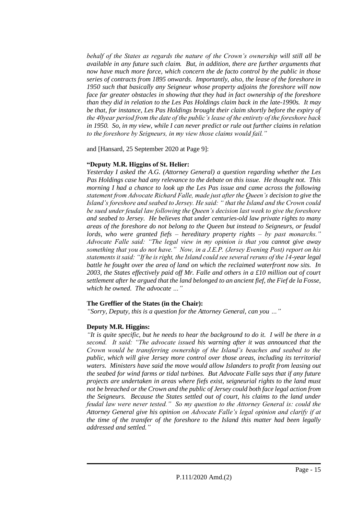*behalf of the States as regards the nature of the Crown's ownership will still all be available in any future such claim. But, in addition, there are further arguments that now have much more force, which concern the de facto control by the public in those series of contracts from 1895 onwards. Importantly, also, the lease of the foreshore in 1950 such that basically any Seigneur whose property adjoins the foreshore will now face far greater obstacles in showing that they had in fact ownership of the foreshore than they did in relation to the Les Pas Holdings claim back in the late-1990s. It may be that, for instance, Les Pas Holdings brought their claim shortly before the expiry of the 40year period from the date of the public's lease of the entirety of the foreshore back in 1950. So, in my view, while I can never predict or rule out further claims in relation to the foreshore by Seigneurs, in my view those claims would fail."*

and [Hansard, 25 September 2020 at Page 9]:

# **"Deputy M.R. Higgins of St. Helier:**

*Yesterday I asked the A.G. (Attorney General) a question regarding whether the Les Pas Holdings case had any relevance to the debate on this issue. He thought not. This morning I had a chance to look up the Les Pas issue and came across the following statement from Advocate Richard Falle, made just after the Queen's decision to give the Island's foreshore and seabed to Jersey. He said: " that the Island and the Crown could be sued under feudal law following the Queen's decision last week to give the foreshore and seabed to Jersey. He believes that under centuries-old law private rights to many areas of the foreshore do not belong to the Queen but instead to Seigneurs, or feudal lords, who were granted fiefs – hereditary property rights – by past monarchs." Advocate Falle said: "The legal view in my opinion is that you cannot give away something that you do not have." Now, in a J.E.P. (Jersey Evening Post) report on his statements it said: "If he is right, the Island could see several reruns of the 14-year legal battle he fought over the area of land on which the reclaimed waterfront now sits. In 2003, the States effectively paid off Mr. Falle and others in a £10 million out of court settlement after he argued that the land belonged to an ancient fief, the Fief de la Fosse, which he owned. The advocate …"*

# **The Greffier of the States (in the Chair):**

*"Sorry, Deputy, this is a question for the Attorney General, can you …"*

# **Deputy M.R. Higgins:**

*"It is quite specific, but he needs to hear the background to do it. I will be there in a second. It said: "The advocate issued his warning after it was announced that the Crown would be transferring ownership of the Island's beaches and seabed to the public, which will give Jersey more control over those areas, including its territorial waters. Ministers have said the move would allow Islanders to profit from leasing out the seabed for wind farms or tidal turbines. But Advocate Falle says that if any future projects are undertaken in areas where fiefs exist, seigneurial rights to the land must not be breached or the Crown and the public of Jersey could both face legal action from the Seigneurs. Because the States settled out of court, his claims to the land under feudal law were never tested." So my question to the Attorney General is: could the Attorney General give his opinion on Advocate Falle's legal opinion and clarify if at the time of the transfer of the foreshore to the Island this matter had been legally addressed and settled."*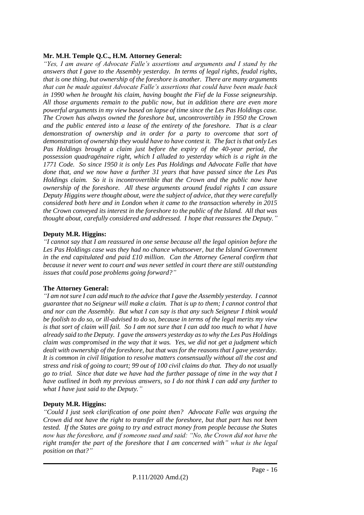# **Mr. M.H. Temple Q.C., H.M. Attorney General:**

*"Yes, I am aware of Advocate Falle's assertions and arguments and I stand by the answers that I gave to the Assembly yesterday. In terms of legal rights, feudal rights, that is one thing, but ownership of the foreshore is another. There are many arguments that can be made against Advocate Falle's assertions that could have been made back in 1990 when he brought his claim, having bought the Fief de la Fosse seigneurship. All those arguments remain to the public now, but in addition there are even more powerful arguments in my view based on lapse of time since the Les Pas Holdings case. The Crown has always owned the foreshore but, uncontrovertibly in 1950 the Crown and the public entered into a lease of the entirety of the foreshore. That is a clear demonstration of ownership and in order for a party to overcome that sort of demonstration of ownership they would have to have contest it. The fact is that only Les Pas Holdings brought a claim just before the expiry of the 40-year period, the possession quadragénaire right, which I alluded to yesterday which is a right in the 1771 Code. So since 1950 it is only Les Pas Holdings and Advocate Falle that have done that, and we now have a further 31 years that have passed since the Les Pas Holdings claim. So it is incontrovertible that the Crown and the public now have ownership of the foreshore. All these arguments around feudal rights I can assure Deputy Higgins were thought about, were the subject of advice, that they were carefully considered both here and in London when it came to the transaction whereby in 2015 the Crown conveyed its interest in the foreshore to the public of the Island. All that was thought about, carefully considered and addressed. I hope that reassures the Deputy."* 

#### **Deputy M.R. Higgins:**

*"I cannot say that I am reassured in one sense because all the legal opinion before the Les Pas Holdings case was they had no chance whatsoever, but the Island Government in the end capitulated and paid £10 million. Can the Attorney General confirm that because it never went to court and was never settled in court there are still outstanding issues that could pose problems going forward?"*

# **The Attorney General:**

*"I am not sure I can add much to the advice that I gave the Assembly yesterday. I cannot guarantee that no Seigneur will make a claim. That is up to them; I cannot control that and nor can the Assembly. But what I can say is that any such Seigneur I think would be foolish to do so, or ill-advised to do so, because in terms of the legal merits my view is that sort of claim will fail. So I am not sure that I can add too much to what I have already said to the Deputy. I gave the answers yesterday as to why the Les Pas Holdings claim was compromised in the way that it was. Yes, we did not get a judgment which dealt with ownership of the foreshore, but that was for the reasons that I gave yesterday. It is common in civil litigation to resolve matters consensually without all the cost and stress and risk of going to court; 99 out of 100 civil claims do that. They do not usually go to trial. Since that date we have had the further passage of time in the way that I have outlined in both my previous answers, so I do not think I can add any further to what I have just said to the Deputy."*

# **Deputy M.R. Higgins:**

*"Could I just seek clarification of one point then? Advocate Falle was arguing the Crown did not have the right to transfer all the foreshore, but that part has not been tested. If the States are going to try and extract money from people because the States now has the foreshore, and if someone sued and said: "No, the Crown did not have the right transfer the part of the foreshore that I am concerned with" what is the legal position on that?"*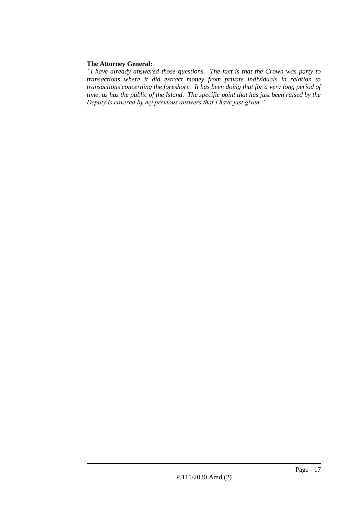# **The Attorney General:**

*"I have already answered those questions. The fact is that the Crown was party to transactions where it did extract money from private individuals in relation to transactions concerning the foreshore. It has been doing that for a very long period of time, as has the public of the Island. The specific point that has just been raised by the Deputy is covered by my previous answers that I have just given."*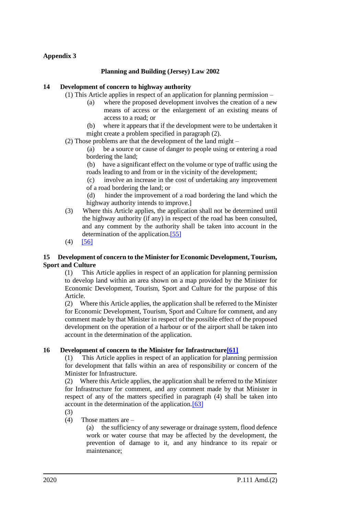# **Appendix 3**

# **Planning and Building (Jersey) Law 2002**

## **14 Development of concern to highway authority**

(1) This Article applies in respect of an application for planning permission –

- (a) where the proposed development involves the creation of a new means of access or the enlargement of an existing means of access to a road; or
- (b) where it appears that if the development were to be undertaken it might create a problem specified in paragraph (2).
- (2) Those problems are that the development of the land might –

(a) be a source or cause of danger to people using or entering a road bordering the land;

(b) have a significant effect on the volume or type of traffic using the roads leading to and from or in the vicinity of the development;

(c) involve an increase in the cost of undertaking any improvement of a road bordering the land; or

(d) hinder the improvement of a road bordering the land which the highway authority intends to improve.]

- (3) Where this Article applies, the application shall not be determined until the highway authority (if any) in respect of the road has been consulted, and any comment by the authority shall be taken into account in the determination of the application[.\[55\]](https://www.jerseylaw.je/laws/revised/Pages/22.550.aspx)
- $(4)$  [\[56\]](https://www.jerseylaw.je/laws/revised/Pages/22.550.aspx#_edn56)

#### **15 Development of concern to the Minister for Economic Development, Tourism, Sport and Culture**

(1) This Article applies in respect of an application for planning permission to develop land within an area shown on a map provided by the Minister for Economic Development, Tourism, Sport and Culture for the purpose of this Article.

(2) Where this Article applies, the application shall be referred to the Minister for Economic Development, Tourism, Sport and Culture for comment, and any comment made by that Minister in respect of the possible effect of the proposed development on the operation of a harbour or of the airport shall be taken into account in the determination of the application.

#### **16 Development of concern to the Minister for Infrastructur[e\[61\]](https://www.jerseylaw.je/laws/revised/Pages/22.550.aspx#_edn61)**

(1) This Article applies in respect of an application for planning permission for development that falls within an area of responsibility or concern of the Minister for Infrastructure.

(2) Where this Article applies, the application shall be referred to the Minister for Infrastructure for comment, and any comment made by that Minister in respect of any of the matters specified in paragraph (4) shall be taken into account in the determination of the application[.\[63\]](https://www.jerseylaw.je/laws/revised/Pages/22.550.aspx)

(3)

(4) Those matters are –

(a) the sufficiency of any sewerage or drainage system, flood defence work or water course that may be affected by the development, the prevention of damage to it, and any hindrance to its repair or maintenance;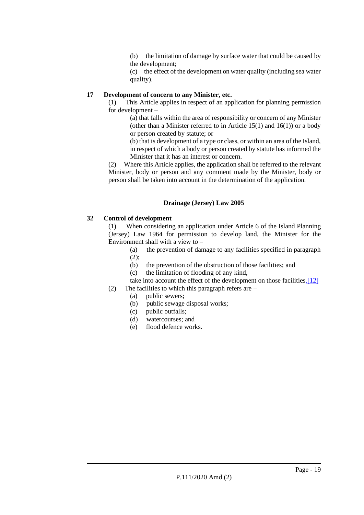(b) the limitation of damage by surface water that could be caused by the development;

(c) the effect of the development on water quality (including sea water quality).

# **17 Development of concern to any Minister, etc.**

(1) This Article applies in respect of an application for planning permission for development –

(a) that falls within the area of responsibility or concern of any Minister (other than a Minister referred to in Article  $15(1)$  and  $16(1)$ ) or a body or person created by statute; or

(b) that is development of a type or class, or within an area of the Island, in respect of which a body or person created by statute has informed the Minister that it has an interest or concern.

(2) Where this Article applies, the application shall be referred to the relevant Minister, body or person and any comment made by the Minister, body or person shall be taken into account in the determination of the application.

# **Drainage (Jersey) Law 2005**

# **32 Control of development**

(1) When considering an application under Article 6 of the Island Planning (Jersey) Law 1964 for permission to develop land, the Minister for the Environment shall with a view to –

(a) the prevention of damage to any facilities specified in paragraph  $(2)$ ;

- (b) the prevention of the obstruction of those facilities; and
- (c) the limitation of flooding of any kind,

take into account the effect of the development on those facilitie[s.\[12\]](https://www.jerseylaw.je/laws/revised/Pages/22.080.aspx#_edn12)

- (2) The facilities to which this paragraph refers are  $-$ 
	- (a) public sewers;
	- (b) public sewage disposal works;
	- (c) public outfalls;
	- (d) watercourses; and
	- (e) flood defence works.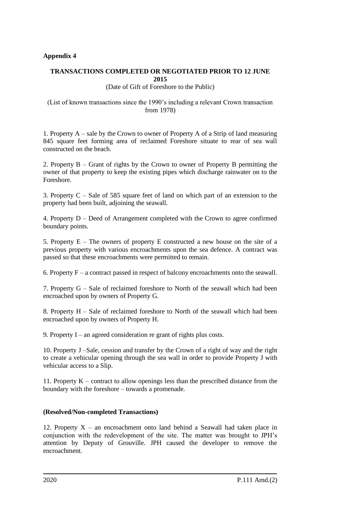# **Appendix 4**

# **TRANSACTIONS COMPLETED OR NEGOTIATED PRIOR TO 12 JUNE 2015**

(Date of Gift of Foreshore to the Public)

#### (List of known transactions since the 1990's including a relevant Crown transaction from 1978)

1. Property A – sale by the Crown to owner of Property A of a Strip of land measuring 845 square feet forming area of reclaimed Foreshore situate to rear of sea wall constructed on the beach.

2. Property B – Grant of rights by the Crown to owner of Property B permitting the owner of that property to keep the existing pipes which discharge rainwater on to the Foreshore.

3. Property C – Sale of 585 square feet of land on which part of an extension to the property had been built, adjoining the seawall.

4. Property D – Deed of Arrangement completed with the Crown to agree confirmed boundary points.

5. Property E – The owners of property E constructed a new house on the site of a previous property with various encroachments upon the sea defence. A contract was passed so that these encroachments were permitted to remain.

6. Property  $F - a$  contract passed in respect of balcony encroachments onto the seawall.

7. Property G – Sale of reclaimed foreshore to North of the seawall which had been encroached upon by owners of Property G.

8. Property H – Sale of reclaimed foreshore to North of the seawall which had been encroached upon by owners of Property H.

9. Property I – an agreed consideration re grant of rights plus costs.

10. Property J –Sale, cession and transfer by the Crown of a right of way and the right to create a vehicular opening through the sea wall in order to provide Property J with vehicular access to a Slip.

11. Property K – contract to allow openings less than the prescribed distance from the boundary with the foreshore – towards a promenade.

#### **(Resolved/Non-completed Transactions)**

12. Property  $X -$  an encroachment onto land behind a Seawall had taken place in conjunction with the redevelopment of the site. The matter was brought to JPH's attention by Deputy of Grouville. JPH caused the developer to remove the encroachment.